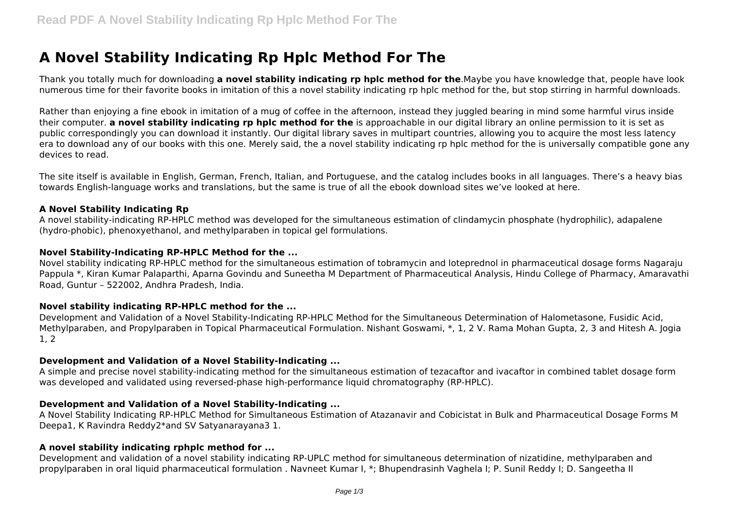# **A Novel Stability Indicating Rp Hplc Method For The**

Thank you totally much for downloading **a novel stability indicating rp hplc method for the**.Maybe you have knowledge that, people have look numerous time for their favorite books in imitation of this a novel stability indicating rp hplc method for the, but stop stirring in harmful downloads.

Rather than enjoying a fine ebook in imitation of a mug of coffee in the afternoon, instead they juggled bearing in mind some harmful virus inside their computer. **a novel stability indicating rp hplc method for the** is approachable in our digital library an online permission to it is set as public correspondingly you can download it instantly. Our digital library saves in multipart countries, allowing you to acquire the most less latency era to download any of our books with this one. Merely said, the a novel stability indicating rp hplc method for the is universally compatible gone any devices to read.

The site itself is available in English, German, French, Italian, and Portuguese, and the catalog includes books in all languages. There's a heavy bias towards English-language works and translations, but the same is true of all the ebook download sites we've looked at here.

#### **A Novel Stability Indicating Rp**

A novel stability-indicating RP-HPLC method was developed for the simultaneous estimation of clindamycin phosphate (hydrophilic), adapalene (hydro-phobic), phenoxyethanol, and methylparaben in topical gel formulations.

#### **Novel Stability-Indicating RP-HPLC Method for the ...**

Novel stability indicating RP-HPLC method for the simultaneous estimation of tobramycin and loteprednol in pharmaceutical dosage forms Nagaraju Pappula \*, Kiran Kumar Palaparthi, Aparna Govindu and Suneetha M Department of Pharmaceutical Analysis, Hindu College of Pharmacy, Amaravathi Road, Guntur – 522002, Andhra Pradesh, India.

#### **Novel stability indicating RP-HPLC method for the ...**

Development and Validation of a Novel Stability-Indicating RP-HPLC Method for the Simultaneous Determination of Halometasone, Fusidic Acid, Methylparaben, and Propylparaben in Topical Pharmaceutical Formulation. Nishant Goswami, \*, 1, 2 V. Rama Mohan Gupta, 2, 3 and Hitesh A. Jogia 1, 2

#### **Development and Validation of a Novel Stability-Indicating ...**

A simple and precise novel stability-indicating method for the simultaneous estimation of tezacaftor and ivacaftor in combined tablet dosage form was developed and validated using reversed-phase high-performance liquid chromatography (RP-HPLC).

## **Development and Validation of a Novel Stability-Indicating ...**

A Novel Stability Indicating RP-HPLC Method for Simultaneous Estimation of Atazanavir and Cobicistat in Bulk and Pharmaceutical Dosage Forms M Deepa1, K Ravindra Reddy2\*and SV Satyanarayana3 1.

#### **A novel stability indicating rphplc method for ...**

Development and validation of a novel stability indicating RP-UPLC method for simultaneous determination of nizatidine, methylparaben and propylparaben in oral liquid pharmaceutical formulation . Navneet Kumar I, \*; Bhupendrasinh Vaghela I; P. Sunil Reddy I; D. Sangeetha II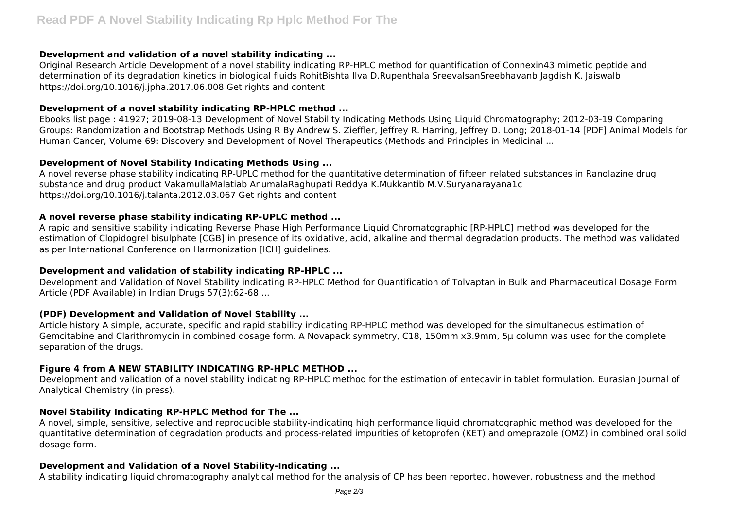## **Development and validation of a novel stability indicating ...**

Original Research Article Development of a novel stability indicating RP-HPLC method for quantification of Connexin43 mimetic peptide and determination of its degradation kinetics in biological fluids RohitBishta Ilva D.Rupenthala SreevalsanSreebhavanb Jagdish K. Jaiswalb https://doi.org/10.1016/j.jpha.2017.06.008 Get rights and content

## **Development of a novel stability indicating RP-HPLC method ...**

Ebooks list page : 41927; 2019-08-13 Development of Novel Stability Indicating Methods Using Liquid Chromatography; 2012-03-19 Comparing Groups: Randomization and Bootstrap Methods Using R By Andrew S. Zieffler, Jeffrey R. Harring, Jeffrey D. Long; 2018-01-14 [PDF] Animal Models for Human Cancer, Volume 69: Discovery and Development of Novel Therapeutics (Methods and Principles in Medicinal ...

# **Development of Novel Stability Indicating Methods Using ...**

A novel reverse phase stability indicating RP-UPLC method for the quantitative determination of fifteen related substances in Ranolazine drug substance and drug product VakamullaMalatiab AnumalaRaghupati Reddya K.Mukkantib M.V.Suryanarayana1c https://doi.org/10.1016/j.talanta.2012.03.067 Get rights and content

## **A novel reverse phase stability indicating RP-UPLC method ...**

A rapid and sensitive stability indicating Reverse Phase High Performance Liquid Chromatographic [RP-HPLC] method was developed for the estimation of Clopidogrel bisulphate [CGB] in presence of its oxidative, acid, alkaline and thermal degradation products. The method was validated as per International Conference on Harmonization [ICH] guidelines.

# **Development and validation of stability indicating RP-HPLC ...**

Development and Validation of Novel Stability indicating RP-HPLC Method for Quantification of Tolvaptan in Bulk and Pharmaceutical Dosage Form Article (PDF Available) in Indian Drugs 57(3):62-68 ...

## **(PDF) Development and Validation of Novel Stability ...**

Article history A simple, accurate, specific and rapid stability indicating RP-HPLC method was developed for the simultaneous estimation of Gemcitabine and Clarithromycin in combined dosage form. A Novapack symmetry, C18, 150mm x3.9mm, 5µ column was used for the complete separation of the drugs.

# **Figure 4 from A NEW STABILITY INDICATING RP-HPLC METHOD ...**

Development and validation of a novel stability indicating RP-HPLC method for the estimation of entecavir in tablet formulation. Eurasian Journal of Analytical Chemistry (in press).

# **Novel Stability Indicating RP-HPLC Method for The ...**

A novel, simple, sensitive, selective and reproducible stability-indicating high performance liquid chromatographic method was developed for the quantitative determination of degradation products and process-related impurities of ketoprofen (KET) and omeprazole (OMZ) in combined oral solid dosage form.

# **Development and Validation of a Novel Stability-Indicating ...**

A stability indicating liquid chromatography analytical method for the analysis of CP has been reported, however, robustness and the method